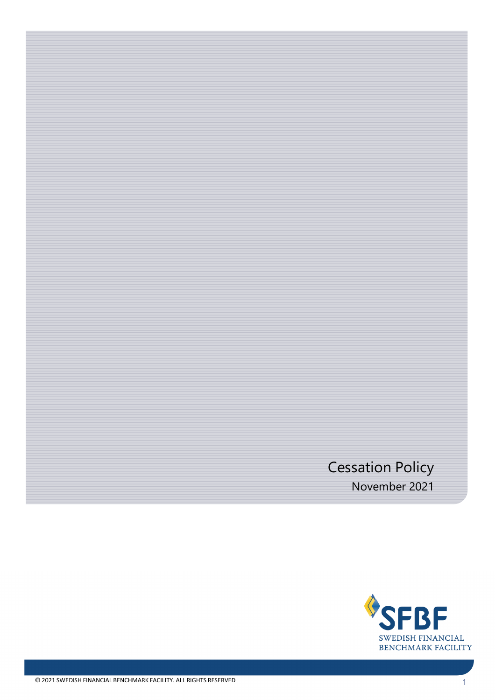# Cessation Policy November 2021

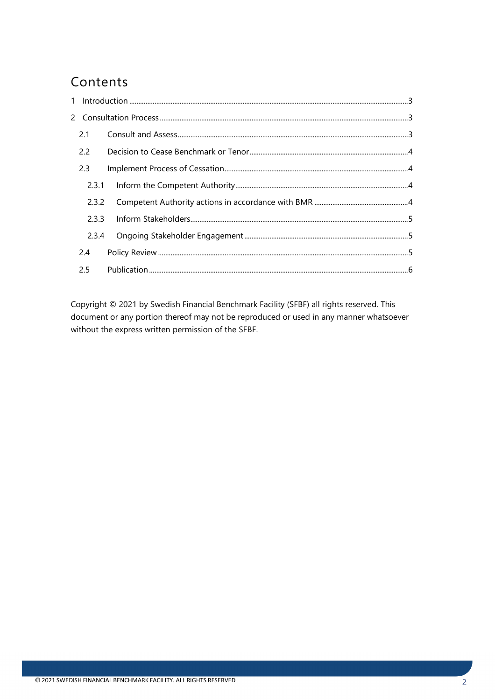## Contents

| 2.1   |  |
|-------|--|
| 2.2   |  |
| 2.3   |  |
| 2.3.1 |  |
| 2.3.2 |  |
| 2.3.3 |  |
| 2.3.4 |  |
| 2.4   |  |
| 2.5   |  |

Copyright © 2021 by Swedish Financial Benchmark Facility (SFBF) all rights reserved. This document or any portion thereof may not be reproduced or used in any manner whatsoever without the express written permission of the SFBF.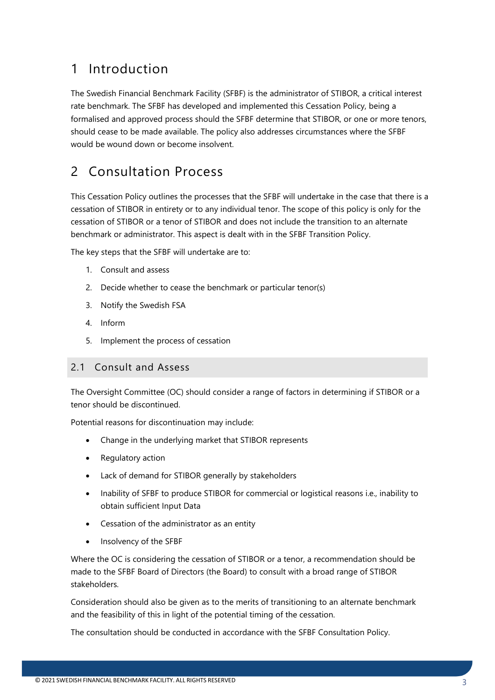# <span id="page-2-0"></span>1 Introduction

The Swedish Financial Benchmark Facility (SFBF) is the administrator of STIBOR, a critical interest rate benchmark. The SFBF has developed and implemented this Cessation Policy, being a formalised and approved process should the SFBF determine that STIBOR, or one or more tenors, should cease to be made available. The policy also addresses circumstances where the SFBF would be wound down or become insolvent.

# <span id="page-2-1"></span>2 Consultation Process

This Cessation Policy outlines the processes that the SFBF will undertake in the case that there is a cessation of STIBOR in entirety or to any individual tenor. The scope of this policy is only for the cessation of STIBOR or a tenor of STIBOR and does not include the transition to an alternate benchmark or administrator. This aspect is dealt with in the SFBF Transition Policy.

The key steps that the SFBF will undertake are to:

- 1. Consult and assess
- 2. Decide whether to cease the benchmark or particular tenor(s)
- 3. Notify the Swedish FSA
- 4. Inform
- 5. Implement the process of cessation

### <span id="page-2-2"></span>2.1 Consult and Assess

The Oversight Committee (OC) should consider a range of factors in determining if STIBOR or a tenor should be discontinued.

Potential reasons for discontinuation may include:

- Change in the underlying market that STIBOR represents
- Regulatory action
- Lack of demand for STIBOR generally by stakeholders
- Inability of SFBF to produce STIBOR for commercial or logistical reasons i.e., inability to obtain sufficient Input Data
- Cessation of the administrator as an entity
- Insolvency of the SFBF

Where the OC is considering the cessation of STIBOR or a tenor, a recommendation should be made to the SFBF Board of Directors (the Board) to consult with a broad range of STIBOR stakeholders.

Consideration should also be given as to the merits of transitioning to an alternate benchmark and the feasibility of this in light of the potential timing of the cessation.

The consultation should be conducted in accordance with the SFBF Consultation Policy.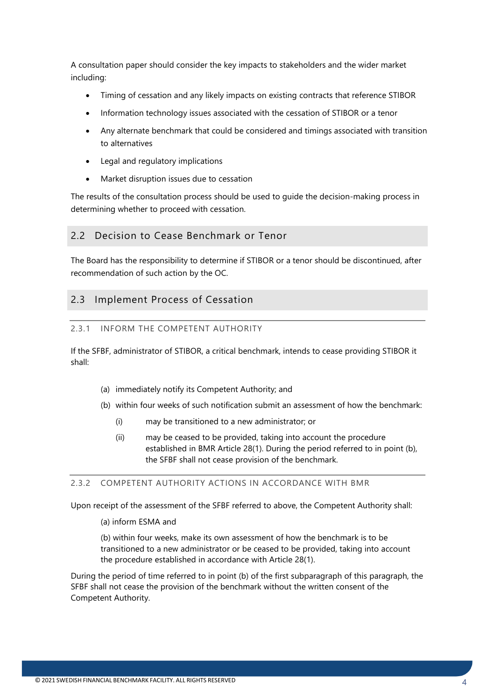A consultation paper should consider the key impacts to stakeholders and the wider market including:

- Timing of cessation and any likely impacts on existing contracts that reference STIBOR
- Information technology issues associated with the cessation of STIBOR or a tenor
- Any alternate benchmark that could be considered and timings associated with transition to alternatives
- Legal and regulatory implications
- Market disruption issues due to cessation

The results of the consultation process should be used to guide the decision-making process in determining whether to proceed with cessation.

### <span id="page-3-0"></span>2.2 Decision to Cease Benchmark or Tenor

The Board has the responsibility to determine if STIBOR or a tenor should be discontinued, after recommendation of such action by the OC.

### <span id="page-3-1"></span>2.3 Implement Process of Cessation

#### <span id="page-3-2"></span>2.3.1 INFORM THE COMPETENT AUTHORITY

If the SFBF, administrator of STIBOR, a critical benchmark, intends to cease providing STIBOR it shall:

- (a) immediately notify its Competent Authority; and
- (b) within four weeks of such notification submit an assessment of how the benchmark:
	- (i) may be transitioned to a new administrator; or
	- (ii) may be ceased to be provided, taking into account the procedure established in BMR Article 28(1). During the period referred to in point (b), the SFBF shall not cease provision of the benchmark.

#### <span id="page-3-3"></span>2.3.2 COMPETENT AUTHORITY ACTIONS IN ACCORDANCE WITH BMR

Upon receipt of the assessment of the SFBF referred to above, the Competent Authority shall:

(a) inform ESMA and

(b) within four weeks, make its own assessment of how the benchmark is to be transitioned to a new administrator or be ceased to be provided, taking into account the procedure established in accordance with Article 28(1).

During the period of time referred to in point (b) of the first subparagraph of this paragraph, the SFBF shall not cease the provision of the benchmark without the written consent of the Competent Authority.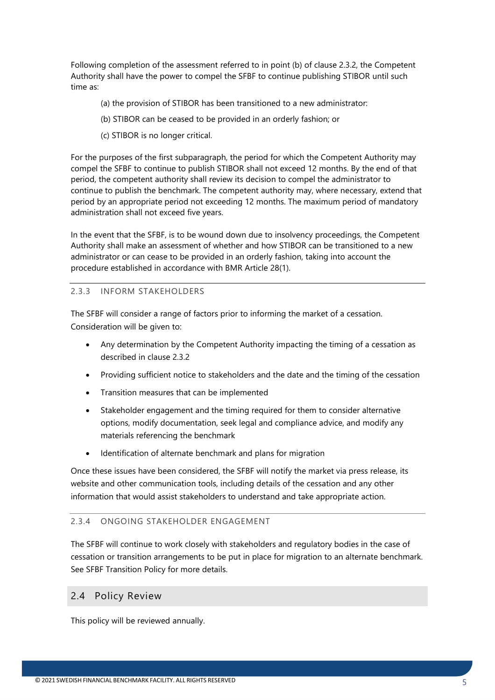Following completion of the assessment referred to in point (b) of clause 2.3.2, the Competent Authority shall have the power to compel the SFBF to continue publishing STIBOR until such time as:

- (a) the provision of STIBOR has been transitioned to a new administrator:
- (b) STIBOR can be ceased to be provided in an orderly fashion; or
- (c) STIBOR is no longer critical.

For the purposes of the first subparagraph, the period for which the Competent Authority may compel the SFBF to continue to publish STIBOR shall not exceed 12 months. By the end of that period, the competent authority shall review its decision to compel the administrator to continue to publish the benchmark. The competent authority may, where necessary, extend that period by an appropriate period not exceeding 12 months. The maximum period of mandatory administration shall not exceed five years.

In the event that the SFBF, is to be wound down due to insolvency proceedings, the Competent Authority shall make an assessment of whether and how STIBOR can be transitioned to a new administrator or can cease to be provided in an orderly fashion, taking into account the procedure established in accordance with BMR Article 28(1).

#### <span id="page-4-0"></span>2.3.3 INFORM STAKEHOLDERS

The SFBF will consider a range of factors prior to informing the market of a cessation. Consideration will be given to:

- Any determination by the Competent Authority impacting the timing of a cessation as described in clause 2.3.2
- Providing sufficient notice to stakeholders and the date and the timing of the cessation
- Transition measures that can be implemented
- Stakeholder engagement and the timing required for them to consider alternative options, modify documentation, seek legal and compliance advice, and modify any materials referencing the benchmark
- Identification of alternate benchmark and plans for migration

Once these issues have been considered, the SFBF will notify the market via press release, its website and other communication tools, including details of the cessation and any other information that would assist stakeholders to understand and take appropriate action.

#### <span id="page-4-1"></span>2.3.4 ONGOING STAKEHOLDER ENGAGEMENT

The SFBF will continue to work closely with stakeholders and regulatory bodies in the case of cessation or transition arrangements to be put in place for migration to an alternate benchmark. See SFBF Transition Policy for more details.

#### <span id="page-4-2"></span>2.4 Policy Review

This policy will be reviewed annually.